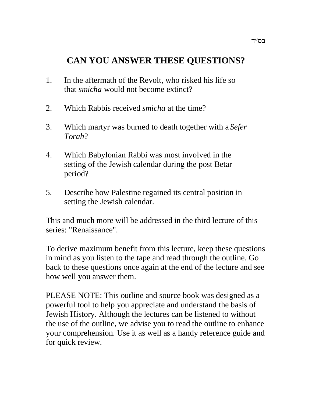# **CAN YOU ANSWER THESE QUESTIONS?**

- 1. In the aftermath of the Revolt, who risked his life so that *smicha* would not become extinct?
- 2. Which Rabbis received *smicha* at the time?
- 3. Which martyr was burned to death together with a *Sefer Torah*?
- 4. Which Babylonian Rabbi was most involved in the setting of the Jewish calendar during the post Betar period?
- 5. Describe how Palestine regained its central position in setting the Jewish calendar.

This and much more will be addressed in the third lecture of this series: "Renaissance".

To derive maximum benefit from this lecture, keep these questions in mind as you listen to the tape and read through the outline. Go back to these questions once again at the end of the lecture and see how well you answer them.

PLEASE NOTE: This outline and source book was designed as a powerful tool to help you appreciate and understand the basis of Jewish History. Although the lectures can be listened to without the use of the outline, we advise you to read the outline to enhance your comprehension. Use it as well as a handy reference guide and for quick review.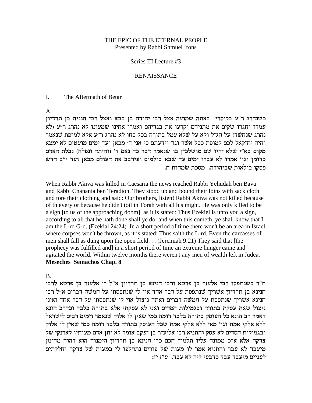## THE EPIC OF THE ETERNAL PEOPLE Presented by Rabbi Shmuel Irons

#### Series III Lecture #3

#### RENAISSANCE

#### I. The Aftermath of Betar

#### A.

כשנהרג ר"ע בקיסרי באתה שמועה אצל רבי יהודה בן בבא ואצל רבי חנניה בן תרדיון  $\lambda$ עמדו וחגרו שקים את מתניהם וקרעו את בגדיהם ואמרו אחינו שמעונו לא נהרג ר״ע (לא נהרג שנחשד) על הגזל ולא על שלא עמל בתורה בכל כחו לא נהרג ר״ע אלא למופת שנאמר והיה יחזקאל לכם למופת ככל אשר וגו׳ וידעתם כי אני ד׳ מכאן ועד ימים מועטים לא ימצא מקום בא״י שלא יהיו שם מושלכין בו שנאמר דבר כה נאם ד׳ (והיתה ונפלה) נבלת האדם כדומן וגו' אמרו לא עברו ימים עד שבא בולמוס ועירבב את העולם מכאן ועד י"ב חדש .<br>פסקו בולאות שביהודה. מסכת שמחות ח

When Rabbi Akiva was killed in Caesaria the news reached Rabbi Yehudah ben Bava and Rabbi Chanania ben Teradion. They stood up and bound their loins with sack cloth and tore their clothing and said: Our brothers, listen! Rabbi Akiva was not killed because of thievery or because he didn't toil in Torah with all his might. He was only killed to be a sign [to us of the approaching doom], as it is stated: Thus Ezekiel is unto you a sign, according to all that he hath done shall ye do: and when this cometh, ye shall know that I am the L-rd G-d. (Ezekial 24:24) In a short period of time there won't be an area in Israel where corpses won't be thrown, as it is stated: Thus saith the L-rd, Even the carcasses of men shall fall as dung upon the open field. . . (Jeremiah 9:21) They said that [the prophecy was fulfilled and] in a short period of time an extreme hunger came and agitated the world. Within twelve months there weren't any men of wealth left in Judea. **Meseches Semachos Chap. 8**

## B.

ת"ר כשנתפסו רבי אלעזר בן פרטא ורבי חנינא בן תרדיון א"ל ר' אלעזר בן פרטא לרבי חנינא בן תרדיון אשריך שנתפסת על דבר אחד אוי לי שנתפסתי על חמשה דברים א"ל רבי חנינא אשריך שנתפסת על חמשה דברים ואתה ניצול אוי לי שנתפסתי על דבר אחד ואיני ניצול שאת עסקת בתורה ובגמילות חסדים ואני לא עסקתי אלא בתורה בלבד וכדרב הונא דאמר רב הונא כל העוסק בתורה בלבד דומה כמי שאין לו אלוק שנאמר וימים רבים לישראל ללא אלקי אמת וגו' מאי ללא אלקי אמת שכל העוסק בתורה בלבד דומה כמי שאין לו אלוק ובגמילות חסדים לא עסק והתניא רבי אליעזר בן יעקב אומר לא יתן אדם מעותיו לארנקי של צדקה אלא א״כ ממונה עליו תלמיד חכם כר׳ חנינא בן תרדיון הימנוה הוא דהוה מהימן מיעבד לא עבר והתניא אמר לו מעות של פורים נתחלפו לי במעות של צדקה וחלקתים לעניים מיעבד עבד כדבעי ליה לא עבד. ע״ז יז: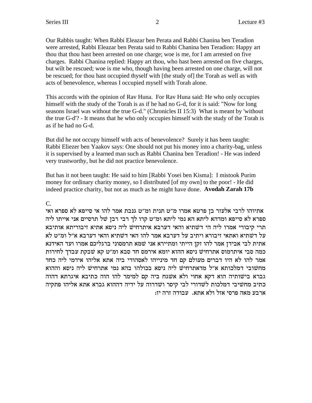Our Rabbis taught: When Rabbi Eleazar ben Perata and Rabbi Chanina ben Teradion were arrested, Rabbi Eleazar ben Perata said to Rabbi Chanina ben Teradion: Happy art thou that thou hast been arrested on one charge; woe is me, for I am arrested on five charges. Rabbi Chanina replied: Happy art thou, who hast been arrested on five charges, but wilt be rescued; woe is me who, though having been arrested on one charge, will not be rescued; for thou hast occupied thyself with [the study of] the Torah as well as with acts of benevolence, whereas I occupied myself with Torah alone.

This accords with the opinion of Rav Huna. For Rav Huna said: He who only occupies himself with the study of the Torah is as if he had no G-d, for it is said: "Now for long seasons Israel was without the true G-d." (Chronicles II 15:3) What is meant by 'without the true G-d'? - It means that he who only occupies himself with the study of the Torah is as if he had no G-d.

But did he not occupy himself with acts of benevolence? Surely it has been taught: Rabbi Eliezer ben Yaakov says: One should not put his money into a charity-bag, unless it is supervised by a learned man such as Rabbi Chanina ben Teradion! - He was indeed very trustworthy, but he did not practice benevolence.

But has it not been taught: He said to him [Rabbi Yosei ben Kisma]: I mistook Purim money for ordinary charity money, so I distributed [of my own] to the poor! - He did indeed practice charity, but not as much as he might have done. **Avodah Zarah 17b**

C.

אתיוהו לרבי אלעזר בן פרטא אמרו מ"ט תנית ומ"ט גנבת אמר להו אי סייפא לא ספרא ואי ספרא לא סייפא ומדהא ליתא הא נמי ליתא ומ״ט קרו לך רבי רבן של תרסיים אני אייתו ליה תרי קיבורי אמרו ליה הי דשתיא והאי דערבא איתרחיש ליה ניסא אתיא זיבוריתא אותיבא על דשתיא ואתאי זיבורא ויתיב על דערבא אמר להו האי דשתיא והאי דערבא א״ל ומ״ט לא אתית לבי אבידן אמר להו זקן הייתי ומתיירא אני שמא תרמסוני ברגליכם אמרו ועד האידנא כמה סבי איתרמוס אתרחיש ניסא ההוא יומא אירמס חד סבא ומ״ט קא שבקת עבדך לחירות אמר להו לא היו דברים מעולם קם חד מינייהו לאסהודי ביה אתא אליהו אידמי ליה כחד מחשובי דמלכותא א״ל מדאתרחיש ליה ניסא בכולהו בהא נמי אתרחיש ליה ניסא וההוא גברא בישותיה הוא דקא אחוי ולא אשגח ביה קם למימר להו הוה כתיבא איגרתא דהוה כתיב מחשיבי דמלכות לשדורי לבי קיסר ושדרוה על ידיה דההוא גברא אתא אליהו פתקיה :נדה זוה מאה מרסי אזל ולא אתא. עבודה זוה יז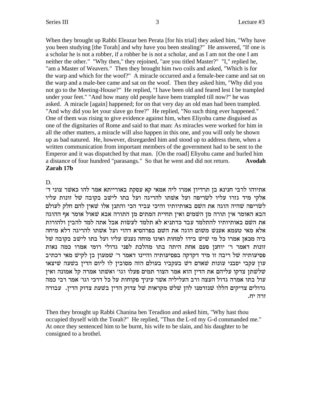When they brought up Rabbi Eleazar ben Perata [for his trial] they asked him, "Why have you been studying [the Torah] and why have you been stealing?" He answered, "If one is a scholar he is not a robber, if a robber he is not a scholar, and as I am not the one I am neither the other." "Why then," they rejoined, "are you titled Master?" "I," replied he, "am a Master of Weavers." Then they brought him two coils and asked, "Which is for the warp and which for the woof?" A miracle occurred and a female-bee came and sat on the warp and a male-bee came and sat on the woof. Then they asked him, "Why did you not go to the Meeting-House?" He replied, "I have been old and feared lest I be trampled under your feet." "And how many old people have been trampled till now?" he was asked. A miracle [again] happened; for on that very day an old man had been trampled. "And why did you let your slave go free?" He replied, "No such thing ever happened." One of them was rising to give evidence against him, when Eliyohu came disguised as one of the dignitaries of Rome and said to that man: As miracles were worked for him in all the other matters, a miracle will also happen in this one, and you will only be shown up as bad natured. He, however, disregarded him and stood up to address them, when a written communication from important members of the government had to be sent to the Emperor and it was dispatched by that man. [On the road] Eliyohu came and hurled him a distance of four hundred "parasangs." So that he went and did not return. **Avodah Zarah 17b**

# D.

'אתיוהו לרבי חנינא בן תרדיון אמרו ליה אמאי קא עסקת באורייתא אמר להו כאשר צוני ד אלקי מיד גזרו עליו לשריפה ועל אשתו להריגה ועל בתו לישב בקובה של זונות עליו לשריפה שהיה הוגה את השם באותיותיו והיכי עביד הכי והתנן אלו שאין להם חלק לעולם הבא האומר אין תורה מן השמים ואין תחיית המתים מן התורה אבא שאול אומר אף ההוגה את השם באותיותיו להתלמד עבד כדתניא לא תלמד לעשות אבל אתה למד להבין ולהורות אלא מאי טעמא אענש משום הוגה את השם בפרהסיא דהוי ועל אשתו להריגה דלא מיחה ביה מכאן אמרו כל מי שיש בידו למחות ואינו מוחה נענש עליו ועל בתו לישב בקובה של זונות דאמר ר' יוחנן פעם אחת היתה בתו מהלכת לפני גדולי רומי אמרו כמה נאות פסיעותיה של ריבה זו מיד דקדקה בפסיעותיה והיינו דאמר ר' שמעון בן לקיש מאי דכתיב עון עקבי יסבני עונות שאדם דש בעקביו בעולם הזה מסובין לו ליום הדין בשעה שיצאו טלשתן צדקו עליהם את הדין הוא אמר הצור תמים פעלו וגו׳ ואשתו אמרה קל אמונה ואין  $\dot{w}$ עול בתו אמרה גדול העצה ורב העליליה אשר עיניך פקוחות על כל דרכי וגו׳ אמר רבי כמה גדולים צדיקים הללו שנזדמנו להן שלש מקראות של צדוק הדין פשעת צדוק הדין. עבודה .זרה יח

Then they brought up Rabbi Chanina ben Teradion and asked him, "Why hast thou occupied thyself with the Torah?" He replied, "Thus the L-rd my G-d commanded me." At once they sentenced him to be burnt, his wife to be slain, and his daughter to be consigned to a brothel.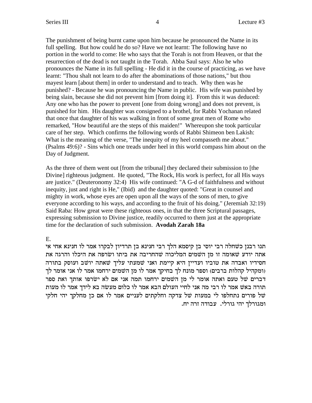The punishment of being burnt came upon him because he pronounced the Name in its full spelling. But how could he do so? Have we not learnt: The following have no portion in the world to come: He who says that the Torah is not from Heaven, or that the resurrection of the dead is not taught in the Torah. Abba Saul says: Also he who pronounces the Name in its full spelling - He did it in the course of practicing, as we have learnt: "Thou shalt not learn to do after the abominations of those nations," but thou mayest learn [about them] in order to understand and to teach. Why then was he punished? - Because he was pronouncing the Name in public. His wife was punished by being slain, because she did not prevent him [from doing it]. From this it was deduced: Any one who has the power to prevent [one from doing wrong] and does not prevent, is punished for him. His daughter was consigned to a brothel, for Rabbi Yochanan related that once that daughter of his was walking in front of some great men of Rome who remarked, "How beautiful are the steps of this maiden!" Whereupon she took particular care of her step. Which confirms the following words of Rabbi Shimeon ben Lakish: What is the meaning of the verse, "The inequity of my heel compasseth me about." (Psalms 49:6)? - Sins which one treads under heel in this world compass him about on the Day of Judgment.

As the three of them went out [from the tribunal] they declared their submission to [the Divine] righteous judgment. He quoted, "The Rock, His work is perfect, for all His ways are justice." (Deuteronomy 32:4) His wife continued: "A G-d of faithfulness and without inequity, just and right is He," (Ibid) and the daughter quoted: "Great in counsel and mighty in work, whose eyes are open upon all the ways of the sons of men, to give everyone according to his ways, and according to the fruit of his doing." (Jeremiah 32:19) Said Raba: How great were these righteous ones, in that the three Scriptural passages, expressing submission to Divine justice, readily occurred to them just at the appropriate time for the declaration of such submission. **Avodah Zarah 18a**

E.

תנו רבנז כשחלה רבי יוסי בז קיסמא הלך רבי חנינא בז תרדיוז לבקרו אמר לו חנינא אחי אי אתה יודע שאומה זו מן השמים המליכוה שהחריבה את ביתו ושרפה את היכלו והרגה את חסידיו ואבדה את טוביו ועדיין היא קיימת ואני שמעתי עליך שאתה יושב ועוסק בתורה ומקהיל קהלות ברבים) וספר מונח לך בחיקך אמר לו מן השמים ירחמו אמר לו אני אומר לך דברים של טעם ואתה אומר לי מן השמים ירחמו תמה אני אם לא ישרפו אותך ואת ספר תורה באשׁ אמר לו רבי מה אני לחיי העולם הבא אמר לו כלום מעשה בא לידך אמר לו מעות של פורים נתחלפו לי במעות של צדקה וחלקתים לעניים אמר לו אם כן מחלקך יהי חלקי  $\psi$ . ומגורלך יהי גורלי. עבודה זרה יח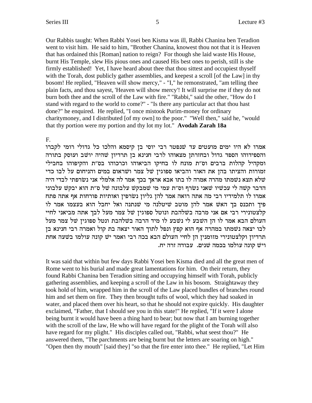Our Rabbis taught: When Rabbi Yosei ben Kisma was ill, Rabbi Chanina ben Teradion went to visit him. He said to him, "Brother Chanina, knowest thou not that it is Heaven that has ordained this [Roman] nation to reign? For though she laid waste His House, burnt His Temple, slew His pious ones and caused His best ones to perish, still is she firmly established! Yet, I have heard about thee that thou sittest and occupiest thyself with the Torah, dost publicly gather assemblies, and keepest a scroll [of the Law] in thy bosom! He replied, "Heaven will show mercy," - "I," he remonstrated, "am telling thee plain facts, and thou sayest, 'Heaven will show mercy'! It will surprise me if they do not burn both thee and the scroll of the Law with fire." "Rabbi," said the other, "How do I stand with regard to the world to come?" - "Is there any particular act that thou hast done?" he enquired. He replied, "I once mistook Purim-money for ordinary charitymoney, and I distributed [of my own] to the poor." "Well then," said he, "would that thy portion were my portion and thy lot my lot." Avodah Zarah 18a

## F.

אמרו לא היו ימים מועטים עד שנפטר רבי יוסי בן קיסמא והלכו כל גדולי רומי לקברו והספידוהו הספד גדול ובחזרתן מצאוהו לרבי חנינא בן תרדיון שהיה יושב ועוסק בתורה ומקהיל קהלות ברבים וס״ת מונח לו בחיקו הביאוהו וכרכוהו בס״ת והקיפוהו בחבילי זמורות והציתו בהן את האור והביאו ספוגין של צמר ושראום במים והניחום על לבו כדי שלא תצא נשמתו מהרה אמרה לו בתו אבא אראך בכך אמר לה אלמלי אני נשרפתי לבדי היה הדבר קשה לי עכשיו שאני נשרף וס״ת עמי מי שמבקש עלבונה של ס״ת הוא יבקש עלבוני אמרו לו תלמידיו רבי מה אתה רואה אמר להן גליון נשרפין ואותיות פורחות אף אתה פתח פיך ותכנס בך האשׁ אמר להן מוטב שיטלנה מי שנתנה ואל יחבל הוא בעצמו אמר לו קלצטונירי רבי אם אני מרבה בשלהבת ונוטל ספוגין של צמר מעל לבך אתה מביאני לחיי העולם הבא אמר לו הן השבע לי נשבע לו מיד הרבה בשלהבת ונטל ספוגין של צמר מעל לבו יצאה נשמתו במהרה אף הוא קפץ ונפל לתוך האור יצאה בת קול ואמרה רבי חנינא בן תרדיון וקלצטונירי מזומנין הן לחיי העולם הבא בכה רבי ואמר יש קונה עולמו בשעה אחת ויש קונה עולמו בכמה שנים. עבודה זרה יח.

It was said that within but few days Rabbi Yosei ben Kisma died and all the great men of Rome went to his burial and made great lamentations for him. On their return, they found Rabbi Chanina ben Teradion sitting and occupying himself with Torah, publicly gathering assemblies, and keeping a scroll of the Law in his bosom. Straightaway they took hold of him, wrapped him in the scroll of the Law placed bundles of branches round him and set them on fire. They then brought tufts of wool, which they had soaked in water, and placed them over his heart, so that he should not expire quickly. His daughter exclaimed, "Father, that I should see you in this state!" He replied, "If it were I alone being burnt it would have been a thing hard to bear; but now that I am burning together with the scroll of the law, He who will have regard for the plight of the Torah will also have regard for my plight." His disciples called out, "Rabbi, what seest thou?" He answered them, "The parchments are being burnt but the letters are soaring on high." "Open then thy mouth" [said they] "so that the fire enter into thee." He replied, "Let Him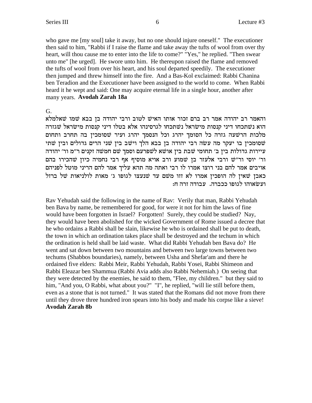who gave me [my soul] take it away, but no one should injure oneself." The executioner then said to him, "Rabbi if I raise the flame and take away the tufts of wool from over thy heart, will thou cause me to enter into the life to come?" "Yes," he replied. "Then swear unto me" [he urged]. He swore unto him. He thereupon raised the flame and removed the tufts of wool from over his heart, and his soul departed speedily. The executioner then jumped and threw himself into the fire. And a Bas-Kol exclaimed: Rabbi Chanina ben Teradion and the Executioner have been assigned to the world to come. When Rabbi heard it he wept and said: One may acquire eternal life in a single hour, another after many years. Avodah Zarah 18a

G.

והאמר רב יהודה אמר רב ברם זכור אותו האיש לטוב ורבי יהודה בן בבא שמו שאלמלא הוא נשתכחו דיני קנסות מישראל נשתכחו לגרסינהו אלא בטלו דיני קנסות מישראל שגזרה מלכות הרשעה גזרה כל הסומך יהרג וכל הנסמך יהרג ועיר שסומכין בה תחרב ותחום שסומכין בו יעקר מה עשה רבי יהודה בן בבא הלך וישב בין שני הרים גדולים ובין שתי עיירות גדולות בין ב׳ תחומי שבת בין אושא לשפרעם וסמך שם חמשה זקנים ר״מ ור׳ יהודה ור׳ יוסי ור״שׁ ורבי אלעזר בן שמוע ורב אויא מוסיף אף רבי נחמיה כיון שהכירו בהם אויבים אמר להם בני רוצו אמרו לו רבי ואתה מה תהא עליך אמר להם הריני מוטל לפניהם כאבן שאין לה הופכין אמרו לא זזו משם עד שנעצו לגופו ג׳ מאות לולניאות של ברזל ועשׂאוהו לגופו ככברה. עבודה זרה ח:

Rav Yehudah said the following in the name of Rav: Verily that man, Rabbi Yehudah ben Bava by name, be remembered for good, for were it not for him the laws of fine would have been forgotten in Israel? Forgotten! Surely, they could be studied? Nay, they would have been abolished for the wicked Government of Rome issued a decree that he who ordains a Rabbi shall be slain, likewise he who is ordained shall be put to death, the town in which an ordination takes place shall be destroved and the techum in which the ordination is held shall be laid waste. What did Rabbi Yehudah ben Bava do? He went and sat down between two mountains and between two large towns between two techums (Shabbos boundaries), namely, between Usha and Shefar'am and there he ordained five elders: Rabbi Meir, Rabbi Yehudah, Rabbi Yosei, Rabbi Shimeon and Rabbi Eleazar ben Shammua (Rabbi Avia adds also Rabbi Nehemiah.) On seeing that they were detected by the enemies, he said to them, "Flee, my children." but they said to him, "And you, O Rabbi, what about you?" "I", he replied, "will lie still before them, even as a stone that is not turned." It was stated that the Romans did not move from there until they drove three hundred iron spears into his body and made his corpse like a sieve! **Avodah Zarah 8b**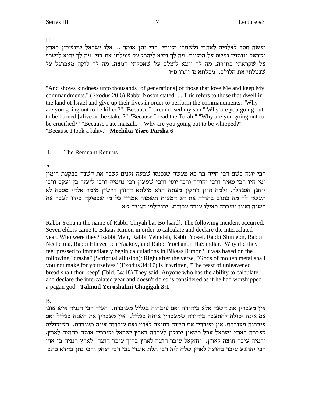H.

ועשה חסד לאלפים לאהבי ולשמרי מצותי. רבי נתן אומר ... אלו ישראל שיושבין בארץ ישראל ונותנין נפשם על המצות. מה לך ויצא ליהרג על שמלתי את בני. מה לך יוצא לישרף על שקראתי בתורה. מה לך יוצא ליצלב על שאכלתי המצה. מה לך לוקה מאפרגל על שנטלתי את הלולב. מכלתא פ׳ יתרו פ״ו

"And shows kindness unto thousands [of generations] of those that love Me and keep My commandments." (Exodus 20:6) Rabbi Noson stated: ... This refers to those that dwell in the land of Israel and give up their lives in order to perform the commandments. "Why are you going out to be killed?" "Because I circumcised my son." Why are you going out to be burned [alive at the stake]?" "Because I read the Torah." "Why are you going out to be crucified?" "Because I ate matzah." "Why are you going out to be whipped?" "Because I took a lulav." **Mechilta Yisro Parsha 6**

# II. The Remnant Returns

A.

רבי יונה בשם רבי חייה בר בא מעשה שנכנסו שבעה זקנים לעבר את השנה בבקעת רימון ומי היו רבי מאיר ורבי יהודה ורבי יוסי ורבי שמעון רבי נחמיה ורבי ליעזר בן יעקב ורבי יוחנן הסנדלר. ולמה הוון דחקין מעתה הדא מילתא דהוון דרשין מימר אלהי מסכה לא תעשה לך מה כתוב בתריה את חג המצות תשמור אמרין כל מי שספיקה בידו לעבר את השנה ואינו מעברה כאילו עובד עכו"ם. ירושלמי חגיגה ג:א

Rabbi Yona in the name of Rabbi Chiyah bar Bo [said]: The following incident occurred. Seven elders came to Bikaas Rimon in order to calculate and declare the intercalated year. Who were they? Rabbi Meir, Rabbi Yehudah, Rabbi Yosei, Rabbi Shimeon, Rabbi Nechemia, Rabbi Eliezer ben Yaakov, and Rabbi Yochanon HaSandlar. Why did they feel pressed to immediately begin calculations in Bikaas Rimon? It was based on the following "drasha" (Scriptual allusion): Right after the verse, "Gods of molten metal shall you not make for yourselves" (Exodus 34:17) is it written, "The feast of unleavened bread shalt thou keep" (Ibid. 34:18) They said: Anyone who has the ability to calculate and declare the intercalated year and doesn't do so is considered as if he had worshipped a pagan god. **Talmud Yerushalmi Chagigah 3:1**

# B.

אין מעברין את השנה אלא ביהודה ואם עיברוה בגליל מעוברת. העיד רבי חנניה איש אונו אם אינה יכולה להתעבר ביהודה שמעברין אותה בגליל. אין מעברין את השנה בגליל ואם עיברוה מעוברת. אין מעברין את השנה בחוצה לארץ ואם עיברוה אינה מעוברת. כשיכולים .<br>לעברה בארץ ישׂראל אבל כשאין יכולין לעברה בארץ ישׂראל מעברין אותה בחוצה לארץ ירמיה עיבר חוצה לארץ. יחזקאל עיבר חוצה לארץ ברוך עיבר חוצה לארץ חנניה בן אחי רבי יהושע עיבר בחוצה לארץ שלח ליה רבי תלת איגרן גבי רבי יצחק ורבי נתן בחדא כתב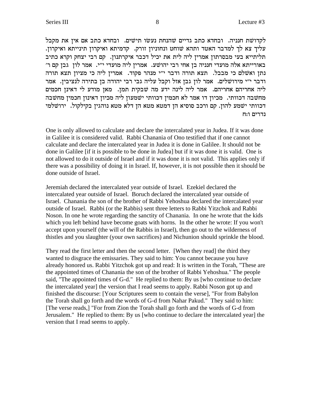לקדושת חנניה. ובחדא כתב גדיים שהנחת נעשו תישים. ובחדא כתב אם אין את מקבל .<br>עליך צא לך למדבר האטד ותהא שוחט ונחוניון זורק. קדמיתא ואיקרון תינייתא ואיקרון תליתייא בעי מבסרתון אמרין ליה לית את יכיל דכבר איקרתנון. קם רבי יצחק וקרא כתיב 'באורייתא אלה מועדי חנניה בן אחי רבי יהושע. אמרין ליה מועדי י"י. אמר לון גבן קם ר נתן ואשלם כי מבבל. תצא תורה ודבר י״י מנהר פקוד. אמרין ליה כי מציון תצא תורה ודבר י״י מירושלים. אמר לון גבן אזל וקבל עליה גבי רבי יהודה בן בתירה לנציבין. אמר ליה אחריהם אחריהם. אמר ליה לינה ידע מה שבקית תמן. מאן מודע לי דאינן חכמים מחשבה דכוותי. מכיון דו אמר לא חכמין דכוותי ישמעון ליה מכיון דאינון חכמין מחשבה דכוותי ישמע להון. קם ורכב סוסיא הן דמטא מטא הן דלא מטא נוהגין בקילקול. ירושלמי נדרים ו:ח

One is only allowed to calculate and declare the intercalated year in Judea. If it was done in Galilee it is considered valid. Rabbi Chanania of Ono testified that if one cannot calculate and declare the intercalated year in Judea it is done in Galilee. It should not be done in Galilee [if it is possible to be done in Judea] but if it was done it is valid. One is not allowed to do it outside of Israel and if it was done it is not valid. This applies only if there was a possibility of doing it in Israel. If, however, it is not possible then it should be done outside of Israel.

Jeremiah declared the intercalated year outside of Israel. Ezekiel declared the intercalated year outside of Israel. Boruch declared the intercalated year outside of Israel. Chanania the son of the brother of Rabbi Yehoshua declared the intercalated year outside of Israel. Rabbi (or the Rabbis) sent three letters to Rabbi Yitzchok and Rabbi Noson. In one he wrote regarding the sanctity of Chanania. In one he wrote that the kids which you left behind have become goats with horns. In the other he wrote: If you won't accept upon yourself (the will of the Rabbis in Israel), then go out to the wilderness of thistles and you slaughter (your own sacrifices) and Nichunion should sprinkle the blood.

They read the first letter and then the second letter. [When they read] the third they wanted to disgrace the emissaries. They said to him: You cannot because you have already honored us. Rabbi Yitzchok got up and read: It is written in the Torah, "These are the appointed times of Chanania the son of the brother of Rabbi Yehoshua." The people said, "The appointed times of G-d." He replied to them: By us [who continue to declare the intercalated year] the version that I read seems to apply. Rabbi Noson got up and finished the discourse: [Your Scriptures seem to contain the verse], "For from Babylon the Torah shall go forth and the words of G-d from Nahar Pakud." They said to him: [The verse reads,] "For from Zion the Torah shall go forth and the words of G-d from Jerusalem." He replied to them: By us [who continue to declare the intercalated year] the version that I read seems to apply.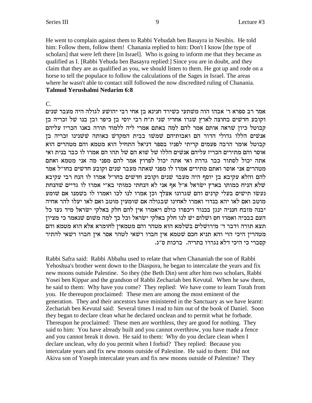He went to complain against them to Rabbi Yehudah ben Basayra in Nesibis. He told him: Follow them, follow them! Chanania replied to him: Don't I know [the type of scholars) that were left there [in Israel]. Who is going to inform me that they became as qualified as I. [Rabbi Yehuda ben Basayra replied:] Since you are in doubt, and they claim that they are as qualified as you, we should listen to them. He got up and rode on a horse to tell the populace to follow the calculations of the Sages in Israel. The areas where he wasn't able to contact still followed the now discredited ruling of Chanania. **Talmud Yerushalmi Nedarim 6:8** 

# $C_{\cdot}$

אמר רב ספרא ר' אבהו הוה משתעי כשירד חנינא בן אחי רבי יהושע לגולה היה מעבר שנים וקובע חדשים בחוצה לארץ שגרו אחריו שני ת"ח רבי יוסי בן כיפר ובן בנו של זכריה בן קבוטל כיון שראה אותם אמר להם למה באתם אמרי ליה ללמוד תורה באנו הכריז עליהם אנשים הללו גדולי הדור הם ואבותיהם שמשו בבית המקדש כאותה ששנינו זכריה בן קבוטל אומר הרבה פעמים קריתי לפניו בספר דניאל התחיל הוא מטמא והם מטהרים הוא אוסר והם מתירים הכריז עליהם אנשים הללו של שוא הם של תהו הם אמרו לו כבר בנית ואי אתה יכול לסתור כבר גדרת ואי אתה יכול לפרוץ אמר להם מפני מה אני מטמא ואתם מטהרים אני אוסר ואתם מתירים אמרו לו מפני שאתה מעבר שנים וקובע חדשים בחו״ל אמר להם והלא עקיבא בן יוסף היה מעבר שנים וקובע חדשים בחו"ל אמרו לו הנח רבי עקיבא שלא הניח כמותו בארץ ישראל א"ל אף אני לא הנחתי כמותי בא"י אמרו לו גדיים שהנחת נעשו תישים בעלי קרנים והם שגרונו אצלך וכן אמרו לנו לכו ואמרו לו בשמנו אם שומע מוטב ואם לאו יהא בנדוי ואמרו לאחינו שבגולה אם שומעין מוטב ואם לאו יעלו להר אחיה יבנה מזבח חנניה ינגן בכנור ויכפרו כולם ויאמרו אין להם חלק באלקי ישראל מיד געו כל העם בבכיה ואמרו חס ושלום יש לנו חלק באלקי ישראל וכל כך למה משום שנאמר כי מציון תצא תורה ודבר ד׳ מירושלים בשלמא הוא מטהר והם מטמאין לחומרא אלא הוא מטמא והם מטהרין היכי הוי והא תניא חכם שטמא אין חברו רשאי לטהר אסר אין חברו רשאי להתיר קסברי כי היכי דלא נגררו בתריה. ברכות ס״ג.

Rabbi Safra said: Rabbi Abbahu used to relate that when Chananiah the son of Rabbi Yehoshua's brother went down to the Diaspora, he began to intercalate the years and fix new moons outside Palestine. So they (the Beth Din) sent after him two scholars, Rabbi Yosei ben Kippar and the grandson of Rabbi Zechariah ben Kevutal. When he saw them, he said to them: Why have you come? They replied: We have come to learn Torah from you. He thereupon proclaimed: These men are among the most eminent of the generation. They and their ancestors have ministered in the Sanctuary as we have learnt: Zechariah ben Kevutal said: Several times I read to him out of the book of Daniel. Soon they began to declare clean what he declared unclean and to permit what he forbade. Thereupon he proclaimed: These men are worthless, they are good for nothing. They said to him: You have already built and you cannot overthrow, you have made a fence and you cannot break it down. He said to them: Why do you declare clean when I declare unclean, why do you permit when I forbid? They replied: Because you intercalate years and fix new moons outside of Palestine. He said to them: Did not Akiva son of Yoseph intercalate years and fix new moons outside of Palestine? They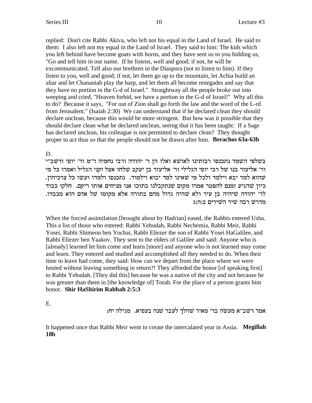replied: Don't cite Rabbi Akiva, who left not his equal in the Land of Israel. He said to them: I also left not my equal in the Land of Israel. They said to him: The kids which you left behind have become goats with horns, and they have sent us to you bidding us, "Go and tell him in our name. If he listens, well and good; if not, he will be excommunicated. Tell also our brethren in the Diaspora (not to listen to him). If they listen to you, well and good; if not, let them go up to the mountain, let Achia build an altar and let Chananiah play the harp, and let them all become renegades and say that they have no portion in the G-d of Israel." Straightway all the people broke out into weeping and cried, "Heaven forbid, we have a portion in the G-d of Israel!" Why all this to do? Because it says, "For out of Zion shall go forth the law and the word of the L-rd from Jerusalem." (Isaiah 2:30) We can understand that if he declared clean they should declare unclean, because this would be more stringent. But how was it possible that they should declare clean what he declared unclean, seeing that it has been taught: If a Sage has declared unclean, his colleague is not permitted to declare clean? They thought proper to act thus so that the people should not be drawn after him. Berachos 63a-63b

D.

בשלפי השמד נתכנסו רבותינו לאושא ואלו הן ר' יהודה ורבי נחמיה ר"מ ור' יוסי ורשב"י ור׳ אליעזר בנו של רבי יוסי הגלילי ור׳ אליעזר בן יעקב שלחו אצל זקני הגליל ואמרו כל מי שהוא למד יבא וילמד ולכל מי שאינו למד יבוא וילמוד. נתכנסו ולמדו ועשו כל צרכיהון. כיון שהגיע זמנם להפטר אמרו מקום שנתקבלנו בתוכו אנו מניחים אותו ריקם. חלקו כבוד לר׳ יהודה שיהיה בן עיר ולא שהיה גדול מהם בתורה אלא מקומו של אדם הוא מכבדו. מדרש רבה שיר השירים ב:ה:ג

When the forced assimilation [brought about by Hadrian] eased, the Rabbis entered Usha. This a list of those who entered: Rabbi Yehudah, Rabbi Nechemia, Rabbi Meir, Rabbi Yosei, Rabbi Shimeon ben Yochai, Rabbi Eliezer the son of Rabbi Yosei HaGalilee, and Rabbi Eliezer ben Yaakov. They sent to the elders of Galilee and said: Anyone who is [already] learned let him come and learn [more] and anyone who is not learned may come and learn. They entered and studied and accomplished all they needed to do. When their time to leave had come, they said: How can we depart from the place where we were hosted without leaving something in return?! They afforded the honor [of speaking first] to Rabbi Yehudah. [They did this] because he was a native of the city and not because he was greater than them in [the knowledge of] Torah. For the place of a person grants him honor. Shir HaShirim Rabbah 2:5:3

E.

אמר רשב״א מעשה בר׳ מאיר שהלך לעבר שנה בעסיא. מגילה יח:

It happened once that Rabbi Meir went to create the intercalated year in Assia. Megillah **18b**